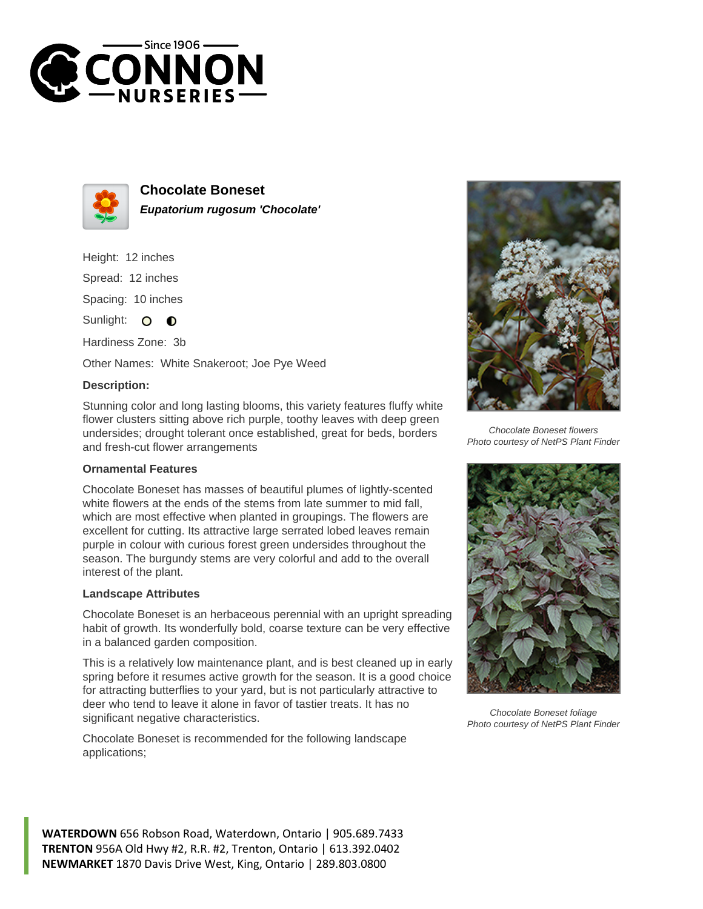



**Chocolate Boneset Eupatorium rugosum 'Chocolate'**

Height: 12 inches Spread: 12 inches

Spacing: 10 inches

Sunlight: O **O** 

Hardiness Zone: 3b

Other Names: White Snakeroot; Joe Pye Weed

## **Description:**

Stunning color and long lasting blooms, this variety features fluffy white flower clusters sitting above rich purple, toothy leaves with deep green undersides; drought tolerant once established, great for beds, borders and fresh-cut flower arrangements

## **Ornamental Features**

Chocolate Boneset has masses of beautiful plumes of lightly-scented white flowers at the ends of the stems from late summer to mid fall, which are most effective when planted in groupings. The flowers are excellent for cutting. Its attractive large serrated lobed leaves remain purple in colour with curious forest green undersides throughout the season. The burgundy stems are very colorful and add to the overall interest of the plant.

## **Landscape Attributes**

Chocolate Boneset is an herbaceous perennial with an upright spreading habit of growth. Its wonderfully bold, coarse texture can be very effective in a balanced garden composition.

This is a relatively low maintenance plant, and is best cleaned up in early spring before it resumes active growth for the season. It is a good choice for attracting butterflies to your yard, but is not particularly attractive to deer who tend to leave it alone in favor of tastier treats. It has no significant negative characteristics.

Chocolate Boneset is recommended for the following landscape applications;



Chocolate Boneset flowers Photo courtesy of NetPS Plant Finder



Chocolate Boneset foliage Photo courtesy of NetPS Plant Finder

**WATERDOWN** 656 Robson Road, Waterdown, Ontario | 905.689.7433 **TRENTON** 956A Old Hwy #2, R.R. #2, Trenton, Ontario | 613.392.0402 **NEWMARKET** 1870 Davis Drive West, King, Ontario | 289.803.0800